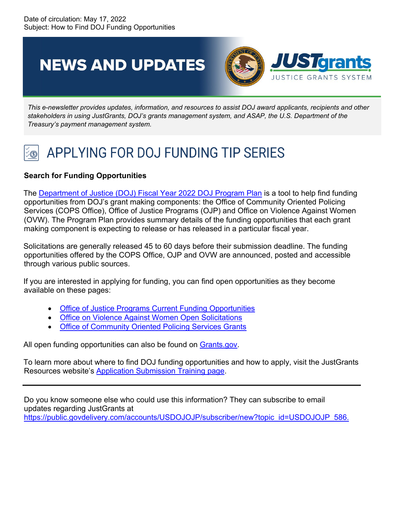**NEWS AND UPDATES** 



*This e-newsletter provides updates, information, and resources to assist DOJ award applicants, recipients and other stakeholders in using JustGrants, DOJ's grants management system, and ASAP, the U.S. Department of the Treasury's payment management system.*

## APPLYING FOR DOJ FUNDING TIP SERIES

## **Search for Funding Opportunities**

The [Department of Justice \(DOJ\) Fiscal Year 2022 DOJ Program Plan](https://www.justice.gov/dojgrantsprogramplan) is a tool to help find funding opportunities from DOJ's grant making components: the Office of Community Oriented Policing Services (COPS Office), Office of Justice Programs (OJP) and Office on Violence Against Women (OVW). The Program Plan provides summary details of the funding opportunities that each grant making component is expecting to release or has released in a particular fiscal year.

Solicitations are generally released 45 to 60 days before their submission deadline. The funding opportunities offered by the COPS Office, OJP and OVW are announced, posted and accessible through various public sources.

If you are interested in applying for funding, you can find open opportunities as they become available on these pages:

- [Office of Justice Programs Current Funding Opportunities](https://www.ojp.gov/funding/explore/current-funding-opportunities)
- [Office on Violence Against Women Open Solicitations](https://www.justice.gov/ovw/open-solicitations)
- [Office of Community Oriented Policing Services Grants](https://cops.usdoj.gov/grants)

All open funding opportunities can also be found on [Grants.gov.](https://www.grants.gov/web/grants)

To learn more about where to find DOJ funding opportunities and how to apply, visit the JustGrants Resources website's [Application Submission Training page.](https://justicegrants.usdoj.gov/training/training-application-submission)

Do you know someone else who could use this information? They can subscribe to email updates regarding JustGrants at [https://public.govdelivery.com/accounts/USDOJOJP/subscriber/new?topic\\_id=USDOJOJP\\_586.](https://public.govdelivery.com/accounts/USDOJOJP/subscriber/new?topic_id=USDOJOJP_586)